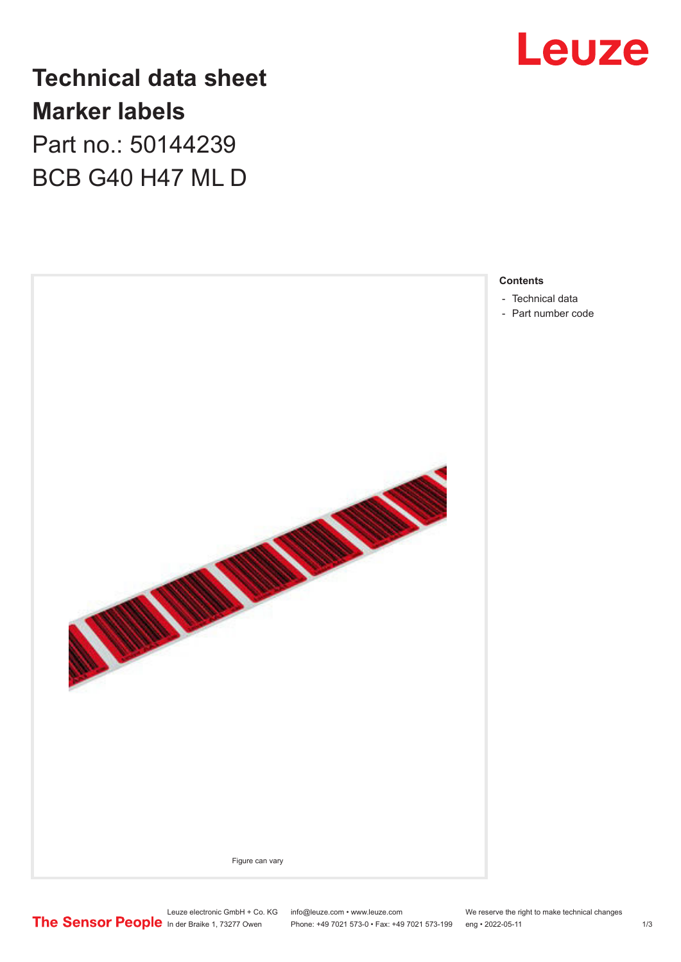

## **Technical data sheet Marker labels** Part no.: 50144239

BCB G40 H47 ML D



- 
- [Part number code](#page-1-0)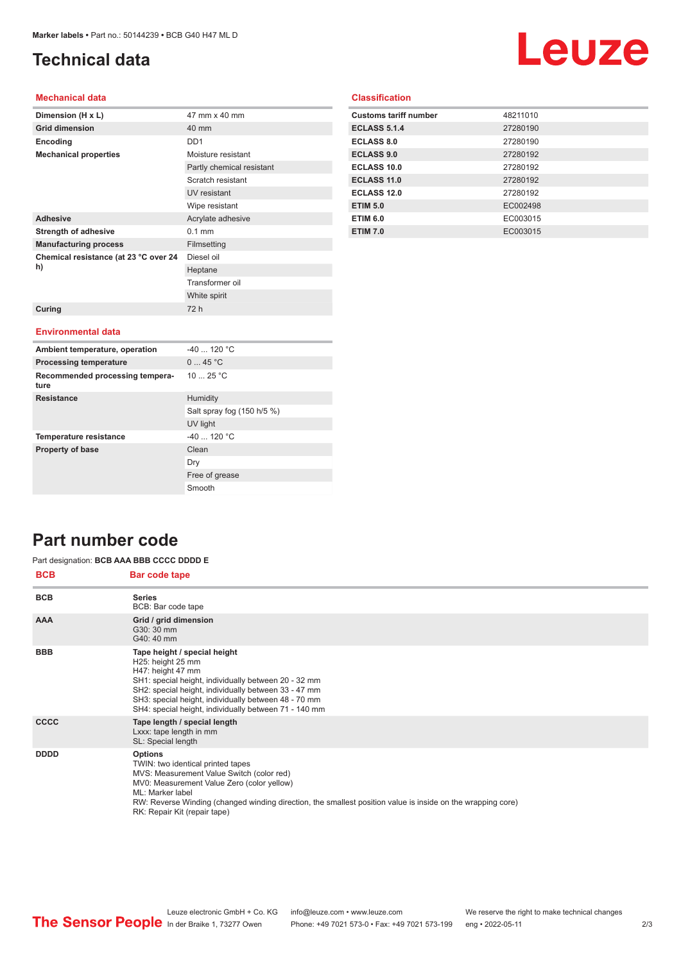## <span id="page-1-0"></span>**Technical data**

# Leuze

### **Mechanical data**

| Dimension (H x L)                           | 47 mm x 40 mm             |
|---------------------------------------------|---------------------------|
| <b>Grid dimension</b>                       | 40 mm                     |
| Encoding                                    | DD <sub>1</sub>           |
| <b>Mechanical properties</b>                | Moisture resistant        |
|                                             | Partly chemical resistant |
|                                             | Scratch resistant         |
|                                             | UV resistant              |
|                                             | Wipe resistant            |
| <b>Adhesive</b>                             | Acrylate adhesive         |
| <b>Strength of adhesive</b>                 | $0.1$ mm                  |
| <b>Manufacturing process</b>                | Filmsetting               |
| Chemical resistance (at 23 °C over 24<br>h) | Diesel oil                |
|                                             | Heptane                   |
|                                             | Transformer oil           |
|                                             | White spirit              |
| Curing                                      | 72 h                      |
|                                             |                           |
| <b>Environmental data</b>                   |                           |
| Ambient temperature, operation              | $-40$ 120 °C              |
| <b>Processing temperature</b>               | 045 °C                    |
| Recommended processing tempera-<br>ture     | 1025 °C                   |

Salt spray fog (150 h/5 %)

UV light

Free of grease Smooth

Dry

|  | <b>Classification</b> |  |
|--|-----------------------|--|
|  |                       |  |
|  |                       |  |

| <b>Customs tariff number</b> | 48211010 |
|------------------------------|----------|
| <b>ECLASS 5.1.4</b>          | 27280190 |
| <b>ECLASS 8.0</b>            | 27280190 |
| <b>ECLASS 9.0</b>            | 27280192 |
| ECLASS 10.0                  | 27280192 |
| ECLASS 11.0                  | 27280192 |
| ECLASS 12.0                  | 27280192 |
| <b>ETIM 5.0</b>              | EC002498 |
| <b>ETIM 6.0</b>              | EC003015 |
| <b>ETIM 7.0</b>              | EC003015 |

## **Part number code**

#### **BCB Bar code tape** Part designation: **BCB AAA BBB CCCC DDDD E**

**Resistance** Humidity

**Temperature resistance**  $-40$  ... 120 °C **Property of base** Clean

| DUD         | <b>Dar code tape</b>                                                                                                                                                                                                                                                                                              |
|-------------|-------------------------------------------------------------------------------------------------------------------------------------------------------------------------------------------------------------------------------------------------------------------------------------------------------------------|
| <b>BCB</b>  | <b>Series</b><br>BCB: Bar code tape                                                                                                                                                                                                                                                                               |
| <b>AAA</b>  | Grid / grid dimension<br>G30: 30 mm<br>G40: 40 mm                                                                                                                                                                                                                                                                 |
| <b>BBB</b>  | Tape height / special height<br>H25: height 25 mm<br>H47: height 47 mm<br>SH1: special height, individually between 20 - 32 mm<br>SH2: special height, individually between 33 - 47 mm<br>SH3: special height, individually between 48 - 70 mm<br>SH4: special height, individually between 71 - 140 mm           |
| <b>CCCC</b> | Tape length / special length<br>Lxxx: tape length in mm<br>SL: Special length                                                                                                                                                                                                                                     |
| <b>DDDD</b> | <b>Options</b><br>TWIN: two identical printed tapes<br>MVS: Measurement Value Switch (color red)<br>MV0: Measurement Value Zero (color yellow)<br>ML: Marker label<br>RW: Reverse Winding (changed winding direction, the smallest position value is inside on the wrapping core)<br>RK: Repair Kit (repair tape) |